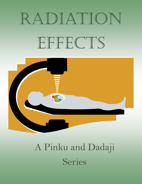# Radiation EFFECTS



## A Pinku and Dadaji Series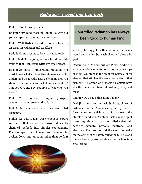#### *Radiation is good and bad both*

Pinku: Good Morning Dadaji

Dadaji: Very good morning Pinku. So why did you get up so early today on a holiday?

Pinku: Well Dadaji, I need to prepare to write an essay on radiation and its effects.

Dadaji: Hmm… seems to be a very good topic.

Pinku: Dadaji can you give more insight on this topic so that I can easily write my essay please.

Dadaji: Oh Sure! To understand radiation, you must know what radio-active elements are. To understand what radio-active elements are, you should first understand what an element is? Can you give me any example of elements you know?

Pinku: Yes I do know. Oxygen, hydrogen, calcium, nitrogen so on and so forth…

Dadaji: Do you know why they are called elements?

Pinku: Yes I do Dadaji. An element is a pure substance that cannot be broken down by chemical methods into simpler components. For example, the element gold cannot be broken down into anything other than gold. If

#### Controlled radiation has always been good to human kind

you kept hitting gold with a hammer, the pieces would get smaller, but each piece will always be gold.

Dadaji: Wow! You are brilliant Pinku. Adding to what you said, elements consist of only one type of atom. An atom is the smallest particle of an element that still has the same properties of that element. All atoms of a specific element have exactly the same chemical makeup, size, and mass.

Pinku: Now what is this atom Dadaji?

Dadaji: Atoms are the basic building blocks of ordinary matter. Atoms can join together to form molecules, which in turn form most of the objects around you. An atom itself is made up of three tiny kinds of particles called subatomic particles namely, protons, neutrons, and electrons. The protons and the neutrons make up the center of the atom called the nucleus and the electrons fly around above the nucleus in a small cloud.

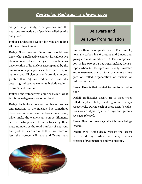#### *Controlled Radiation is always good*

As per deeper study, even protons and the neutrons are made up of particles called quarks and gluons.

Pinku: I understood Dadaji but why are telling all these things to me?

Dadaji: Good question Pinku. You should now know what a radioactive element is. Radioactive element is an element subject to spontaneous degeneration of its nucleus accompanied by the emission of alpha particles, beta particles, or gamma rays. All elements with atomic numbers greater than 83 are radioactive. Naturally occurring radioactive elements include radium, thorium, and uranium.

Pinku: I understood what a nucleus is but, what is this term degeneration of nucleus?

Dadaji: Each atom has a set number of protons and neutrons in the nucleus, but sometimes there are more or less neutrons than usual, which make the element an isotope. Elements can be distinguished from isotopes by their mass number, or the total number of neutrons and protons in an atom. If there are more or less, the isotope will have a different mass

### Be aware and Be away from radiation

number than the original element. For example, normally carbon has 6 protons and 6 neutrons, giving it a mass number of 12. The isotope carbon-14 has two extra neutrons, making the isotope carbon-14. Isotopes are usually, unstable and release neutrons, protons, or energy as time goes on called degeneration of nucleus or radioactive decay.

Pinku: How is that related to our topic radiation?

Dadaji: Radioactive decays are of three types called alpha, beta, and gamma decays respectively. During each of these decay's radiations called alpha rays, beta rays and gamma rays gets released.

Pinku: How do these rays affect human beings Dadaji?

Dadaji: Well! Alpha decay releases the largest particle during radioactive decay, which consists of two neutrons and two protons.

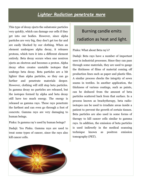#### *Lighter Radiation penetrate more*

This type of decay ejects the subatomic particles very quickly, which can damage our cells if they get into our bodies. However, since alpha particles are very big, they don't get too far and are easily blocked by our clothing. When an element undergoes alpha decay, it releases protons, which turn it into a different element entirely. Beta decay occurs when one neutron ejects an electron and becomes a proton. Alpha decay often creates unstable isotopes that undergo beta decay. Beta particles are a bit lighter than alpha particles, so they can go farther and penetrate materials deeper. However, clothing will still stop beta particles. In gamma decay no particles are released, but the isotopes formed by alpha and beta decay still have too much energy. The energy is released as gamma rays. These rays penetrate the farthest and can even go through a foot of concrete. Gamma rays are very damaging to human beings.

Pinku: Is gamma ray's used by human beings?

Dadaji: Yes Pinku. Gamma rays are used to treat some types of cancer, since the rays also kill cancer cells.

Burning candle emits radiation as heat and light.

#### Pinku: What about Beta ray's?

Dadaji: Beta rays have a number of important uses in industrial processes. Since they can pass through some materials, they are used to gauge the thickness of films of material coming off production lines such as paper and plastic film. A similar process checks the integrity of sewn seams in textiles. In another application, the thickness of various coatings, such as paints, can be deduced from the amount of beta particles scattered back from that surface. In a process known as brachytherapy, beta radioisotopes can be used to irradiate areas inside a patient to prevent the growth of certain tissues. Beta particles are also used in some forms of therapy to kill cancer cells similar to gamma rays. In addition, the emission of beta particles is used indirectly in the medical scanning technique known as positron emission tomography (PET).

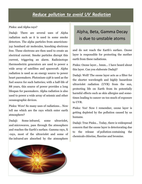#### *Reduce pollution to avoid UV Radiation*

#### Pinku: and Alpha rays?

Dadaji: There are several uses of Alpha radiation such as it is used in some smoke detectors. The alpha particles from americium-241 bombard air molecules, knocking electrons free. These electrons are then used to create an electrical current. Smoke particles disrupt this current, triggering an alarm. Radioisotope thermoelectric generators are used to power a wide array of satellites and spacecraft. Alpha radiation is used as an energy source to power heart pacemakers. Plutonium-238 is used as the fuel source for such batteries; with a half-life of 88 years, this source of power provides a long lifespan for pacemakers. Alpha radiation is also used to power a wide array of seismic and other oceanographic devices.

Pinku: Wow! So many uses of radiations… Now tell me which are the rays which enter earth atmosphere?

Dadaji: Some infrared, some ultraviolet, and microwaves, pass through the atmosphere and reaches the Earth's surface. Gamma rays, X -rays, most of the ultraviolet and some of the infrared are absorbed by the atmosphere

#### Alpha, Beta, Gamma Decay is due to unstable atoms

and do not reach the Earth's surface. Ozone layer is responsible for protecting the mother earth from these radiations.

Pinku: Ozone layer… hmm… I have heard about this layer. Can you elaborate Dadaji?

Dadaji: Well! The ozone layer acts as a filter for the shorter wavelength and highly hazardous ultraviolet radiation (UVR) from the sun, protecting life on Earth from its potentially harmful effects such as skin allergies and sometimes leading to cancer on too much of exposure to UVR.

Pinku: Yes! Now I remember, ozone layer is getting depleted by the pollution caused by us humans.

Dadaji: True Pinku… Today, there is widespread concern that the ozone layer is deteriorating due to the release of pollution containing the chemicals chlorine, fluorine and bromine.

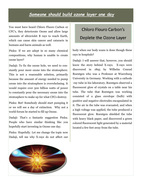#### *Someone should build ozone layer one day*

You must have heard Chloro Fluoro Carbon or CFC's, they deteriorate Ozone and allow large amounts of ultraviolet B rays to reach Earth, which can cause skin cancer and cataracts in humans and harm animals as well.

Pinku: If we are adept in so many chemical compositions, why human is unable to create ozone layer?

Dadaji: To fix the ozone hole, we need to constantly pour more ozone into the stratosphere. This is not a reasonable solution, primarily because the amount of energy needed to pump ozone into the stratosphere is overwhelming. It would require over 500 billion watts of power to constantly pour the necessary ozone into the stratosphere to make up for what CFCs destroy.

Pinku: But! Somebody should start pumping it or we will see a day of extinction. Why not a world forum be started to fill up Ozone.

Dadaji: That's a fantastic suggestion Pinku. People who have similar thinking like you hopefully start investing in Ozone one day.

Pinku: Hopefully. Let me change the topic now Dadaji, tell me why X-rays do not affect our

## Chloro Flouro Carbon's Deplete the Ozone Layer

body when our body scans is done though these rays in hospitals?

Dadaji: I will answer that, however, you should know the story behind X-rays. X-rays were discovered in 1895 by Wilhelm Conrad Roentgen who was a Professor at Wuerzburg University in Germany. Working with a cathode -ray tube in his laboratory, Roentgen observed a fluorescent glow of crystals on a table near his tube. The tube that Roentgen was working consisted of a glass envelope (bulb) with positive and negative electrodes encapsulated in it. The air in the tube was evacuated, and when a high voltage was applied, the tube produced a fluorescent glow. Roentgen shielded the tube with heavy black paper, and discovered a green colored fluorescent light generated by a material located a few feet away from the tube.

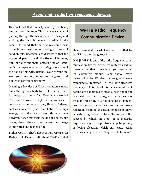#### *Avoid high radiation frequency devices*

He concluded that a new type of ray was being emitted from the tube. This ray was capable of passing through the heavy paper covering and exciting the phosphorescent materials in the room. He found that the new ray could pass through most substances casting shadows of solid objects. Roentgen also discovered that the ray could pass through the tissue of humans, but not bones and metal objects. One of Roentgen's first experiments late in 1895 was a film of the hand of his wife, Bertha. Now to your answer your question, X-rays are dangerous but not when controlled properly.

Meaning, a low dose of X-rays radiation is made enter through our body to check whether there is a fracture or not is fine. Now, how it works? This beam travels through the air, comes into contact with our body tissues; Since, soft tissue, such as skin and organs, cannot absorb the high -energy rays, the beam passes through them however, dense materials inside our bodies, like bones, absorb the radiation hence; their image is imprinted on the metal film.

Pinku: Got it. That's about X-ray. Great gyan Dadaji... Let's now talk about Wi-Fi's. What

#### Wi-Fi is Radio Frequency Communication Device.

about normal Wi-Fi what rays are remitted by Wi-Fi? Are they dangerous?

Dadaji: Wi-Fi is one of the radio frequency communication devices. A wireless router is used for transmission that connects to your computer (or computers)/mobile using radio waves instead of cables. Wireless routers give off electromagnetic radiation in the low-gigahertz frequency. This level is considered not potentially dangerous to people even though it is not risk free. Electro-magnetic radiations pass through walls but, it is not considered dangerous as radio radiations are non-ionizing radiations meaning, this radiation does not have enough energy to ionize atoms (Ionization is the process by which an atom or a molecule acquires a negative or positive charge by gaining or losing electrons which can cause other chemical changes hence, dangerous to humans).

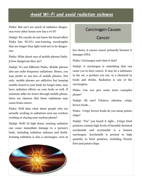#### *Avoid Wi-Fi and avoid radiation sickness*

Pinku: But isn't too much of radiation dangerous every other house now has a wi-fi?

Dadaji: We exactly do not know the broad affect Pinku but, Wi-Fi's non-ionizing wavelengths that are longer than light tend not to be dangerous.

Pinku: What about rays of mobile phones Dadaji how dangerous they are?

Dadaji: It's not different Pinku. Mobile phones also use radio frequency radiations. Hence, you may prefer to use less of mobile phones. Not only, mobile phones are addictive but keeping mobile closed to your body for longer time, may have radiation effects on your body as well. If someone talks for hours through mobile phone, there are chances that these radiations may cause brain cancer.

Pinku: Well then what about people who are actually working in radiations area say workers working or staying near nuclear plants?

Dadaji: Well! At high doses, ionizing radiation can cause immediate damage to a person's body, including radiation sickness and death. Ionizing radiation is also a carcinogen, even at

#### Carcinogen Causes

Cancer

low doses; it causes cancer primarily because it damages DNA.

Pinku: Carcinogen and what is that?

Dadaji: A carcinogen is something that can cause you to have cancer. It may be a substance in the air, a product you use, or a chemical in foods and drinks. Radiation is one of the carcinogens.

Pinku: Can you give some more examples please?

Dadaji: Oh sure! Tobacco, asbestos, crispy brown foods…

Pinku: Crispy brown foods do you mean potato chips?

Dadaji: "Yes" you heard it right… Crispy fried potatoes contain high levels of harmful chemical acrylamide and acrylamide is a human carcinogen. Acrylamide is present in high quantity in fried potatoes, including French fries and potato chips.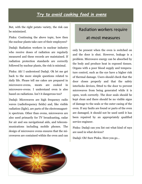#### *Try to avoid cooking food in ovens*

But, with the right potato variety, the risk can be minimized.

Pinku: Continuing the above topic, how then the nuclear plants take care of their employees?

Dadaji: Radiation workers in nuclear industry who receive doses of radiation are regularly measured and these records are maintained. If radiation protection standards are correctly followed by nuclear plants, the risk is minimal.

Pinku: Ah! I understood Dadaji. Ok let me get back to the more simple questions related to daily life. Please tell me cakes are prepared in microwave-ovens, meats are cooked in microwave-ovens. I understand oven is also based on radiations. Isn't it dangerous too?

Dadaji: Microwaves are high frequency radio waves (radiofrequency fields) and, like visible radiation (light), are parts of the electromagnetic spectrum. Other than ovens, microwaves are also used primarily for TV broadcasting, radar for air and sea navigational aids, and telecommunications including mobile phones. The design of microwave ovens ensures that the microwaves are contained within the oven and can

#### Radiation workers require

#### at-most measures

only be present when the oven is switched on and the door is shut. However, leakage is a problem. Microwave energy can be absorbed by the body and produce heat in exposed tissues. Organs with a poor blood supply and temperature control, such as the eye have a higher risk of thermal damage. Users should check that the door closes properly and that the safety interlocks devices, fitted to the door to prevent microwaves from being generated while it is open, work correctly. The door seals should be kept clean and there should be no visible signs of damage to the seals or the outer casing of the oven. If any faults are found or parts of the oven are damaged, it should not be used until it has been repaired by an appropriately qualified service engineer.

Pinku: Dadaji can you list out what kind of rays are used in what devices?

Dadaji: Oh! Sure Pinku. Here you go…

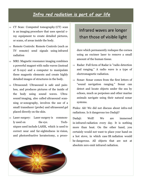#### *Infra red radiation is part of our life*

- $\Rightarrow$  CT Scan: Computed tomography (CT) scan is an imaging procedure that uses special xray equipment to create detailed pictures, or scans, of areas inside the body.
- $\Rightarrow$  Remote Controls: Remote Controls (such as TV remote) send signals using infrared radiation
- $\Rightarrow$  MRI: Magnetic resonance imaging combines a powerful magnet with radio waves (instead of X-rays) and a computer to manipulate these magnetic elements and create highly detailed images of structures in the body.
- $\Rightarrow$  Ultrasound: Ultrasound is safe and painless, and produces pictures of the inside of the body using sound waves. Ultrasound imaging, also called ultrasound scanning or sonography, involves the use of a small transducer (probe) and ultrasound gel placed directly on the skin.
- $\Rightarrow$  Laser surgery: Laser surgery is commonly used on the eye. Techniques used include LASIK, which is used to correct near and far-sightedness in vision, and photorefractive keratectomy, a proce-

#### Infrared waves are longer than those of visible light

dure which permanently reshapes the cornea using an excimer laser to remove a small amount of the human tissue.

- $\Rightarrow$  Radar: Full form of Radar is "radio detection and ranging." A radio wave is a type of electromagnetic radiation.
- $\Rightarrow$  Sonar: Sonar comes from the first letters of "sound navigation ranging." Sonar can detect and locate objects under the sea by echoes, much as porpoises and other marine animals navigate using their natural sonar systems.

Pinku: Ah! We did not discuss about infra-red radiations. Is it dangerous too Dadaji?

Dadaji: Well! We are immersed in infrared radiation every day. It is nothing more than heat. On the other hand, you certainly would not want to place your hand on a hot stove, in which case IR radiation would be dangerous. All objects that are not at absolute zero emit infrared radiation.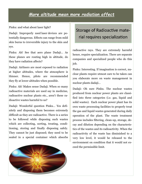#### *More altitude mean more radiation affect*

Pinku: and what about laser light?

Dadaji: Improperly used laser devices are potentially dangerous. Effects can range from mild skin burns to irreversible injury to the skin and eye.

Pinku: Ah! See that aero plane Dadaji… As these planes are routing high in altitude, do they have radiation affects?

Dadaji: Airliners are most exposed to radiation at higher altitudes, where the atmosphere is thinner. Hence, pilots are recommended they fly at lower altitudes when possible.

Pinku: Ah! Makes sense Dadaji. When so many radioactive materials are used say in medicine, radioactive nuclear plants etc., aren't these radioactive wastes harmful to us?

Dadaji: Wonderful question Pinku… Yes definitely and disposing them becomes extremely difficult as they are radioactive. There is a series to be followed while disposing such wastes which are collecting, sorting, treating, conditioning, storing and finally disposing safely. They cannot be just disposed; they need to be sealed in a special container which absorbs

#### Storage of Radioactive material requires specialization

radioactive rays. They are extremely harmful hence, require specialization. There are separate companies and specialized people who do this job.

Pinku: Interesting. If imagination is correct, nuclear plants require utmost care to be taken can you elaborate more on waste management in nuclear plants dadaji…

Dadaji: Oh sure Pinku. The nuclear wastes produced from nuclear power plants are classified into three categories (i.e. gas, liquid and solid wastes). Each nuclear power plant has its own waste processing facilities to properly treat the gas and liquid wastes generated during daily operation of the plant. The waste treatment process includes filtering, clean-up, storage, decay and dilution depending on the characteristics of the wastes and its radioactivity. When the radioactivity of the waste has diminished to a very low level, it would be released to the environment on condition that it would not exceed the permissible limit.

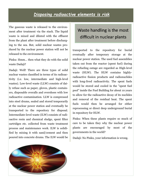#### *Disposing radioactive elements is risk*

The gaseous waste is released to the environment after treatment via the stack. The liquid waste is mixed and diluted with the effluent from the plant after treatment before discharging to the sea. But, solid nuclear wastes produced by the nuclear power station will not be released to the environment.

Pinku: Hmm… then what they do with the solid waste Dadaji?

Dadaji: Well! There are three types of solid nuclear wastes classified in terms of its radioactivity (i.e. low, intermediate and high-level wastes). Low-level waste (LLW) consists of daily refuse such as paper, gloves, plastic containers, disposable overalls and overshoes with low radioactive contamination. LLW is compressed into steel drums, sealed and stored temporarily at the nuclear power station and eventually be transported to the repository for disposal. Intermediate-level waste (ILW) consists of radioactive resin and chemical sludge, spent filter cartridges etc. collected from waste treatment process and maintenance work. ILW is solidified by mixing it with sand/cement and then poured into concrete drums. The ILW would be

#### Waste handling is the most difficult in nuclear plants

transported to the repository for burial eventually after temporary storage at the nuclear power station. The used fuel assemblies taken out from the reactor (spent fuel) during the refueling outage are regarded as High-level waste (HLW). The HLW contains highlyradioactive fission products and radionuclides with long-lived radioactivity. The spent fuels would be stored and cooled in the "spent fuel pool" inside the Fuel Building for about 10 years to allow for the radioactive decay of its nuclides and removal of the residual heat. The spent fuels would then be arranged for either reprocessing or direct deep underground burial in repository for HLW.

Pinku: When these plants require so much of care to be taken they why the nuclear power plants are encouraged by most of the governments in the world?

Dadaji: No Pinku, your information is wrong.